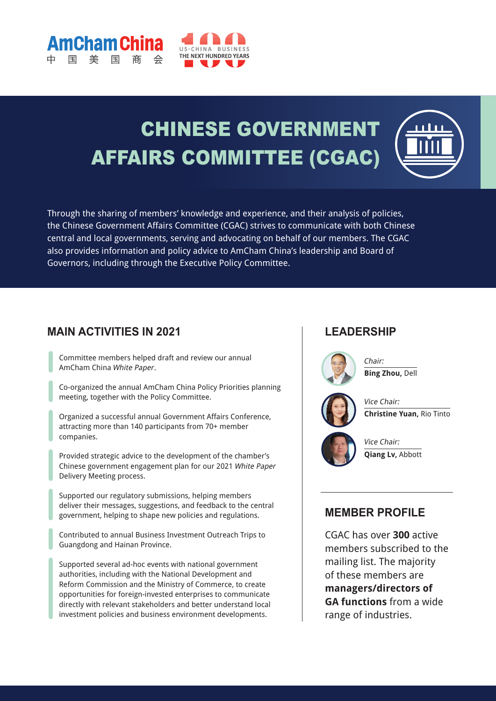

# CHINESE GOVERNMENT AFFAIRS COMMITTEE (CGAC)



Through the sharing of members' knowledge and experience, and their analysis of policies, the Chinese Government Affairs Committee (CGAC) strives to communicate with both Chinese central and local governments, serving and advocating on behalf of our members. The CGAC also provides information and policy advice to AmCham China's leadership and Board of Governors, including through the Executive Policy Committee.

#### **MAIN ACTIVITIES IN 2021**

**Cham Ch** 

Committee members helped draft and review our annual AmCham China White Paper.

Co-organized the annual AmCham China Policy Priorities planning meeting, together with the Policy Committee.

Organized a successful annual Government Affairs Conference, attracting more than 140 participants from 70+ member companies.

Provided strategic advice to the development of the chamber's Chinese government engagement plan for our 2021 White Paper Delivery Meeting process.

Supported our regulatory submissions, helping members deliver their messages, suggestions, and feedback to the central government, helping to shape new policies and regulations.

Contributed to annual Business Investment Outreach Trips to Guangdong and Hainan Province.

Supported several ad-hoc events with national government authorities, including with the National Development and Reform Commission and the Ministry of Commerce, to create opportunities for foreign-invested enterprises to communicate directly with relevant stakeholders and better understand local investment policies and business environment developments.

#### **LEADERSHIP**



Chair: **Bing Zhou,** Dell



Vice Chair: **Christine Yuan,** Rio Tinto



Vice Chair: **Qiang Lv,** Abbott

#### **MEMBER PROFILE**

CGAC has over **300** active members subscribed to the mailing list. The majority of these members are **managers/directors of GA functions** from a wide range of industries.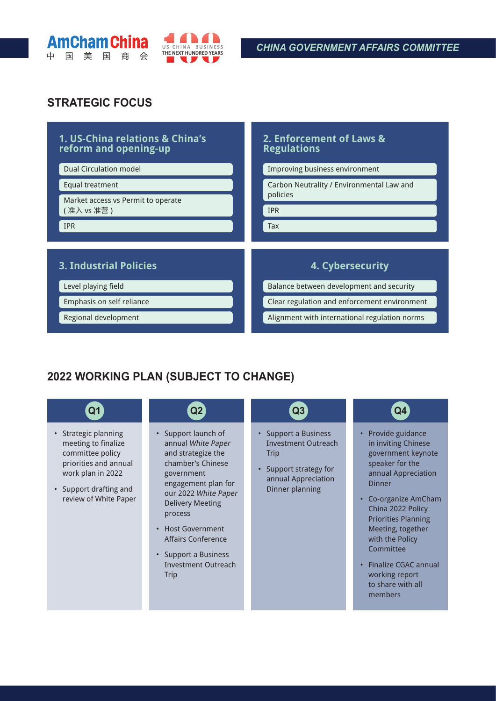



#### **STRATEGIC FOCUS**

#### **1. US-China relations & China's reform and opening-up** Dual Circulation model Equal treatment Market access vs Permit to operate ( 准入 vs 准营 ) IPR **2. Enforcement of Laws & Regulations** Improving business environment Carbon Neutrality / Environmental Law and policies IPR Tax **3. Industrial Policies** Level playing field Emphasis on self reliance Regional development **4. Cybersecurity** Balance between development and security Clear regulation and enforcement environment Alignment with international regulation norms

## **2022 WORKING PLAN (SUBJECT TO CHANGE)**

| Q1                                                                                                                                                               | Q2                                                                                                                                                                                                                                                                                                                                | $\bf Q3$                                                                                                                       | Q4                                                                                                                                                                                                                                                                                                                               |
|------------------------------------------------------------------------------------------------------------------------------------------------------------------|-----------------------------------------------------------------------------------------------------------------------------------------------------------------------------------------------------------------------------------------------------------------------------------------------------------------------------------|--------------------------------------------------------------------------------------------------------------------------------|----------------------------------------------------------------------------------------------------------------------------------------------------------------------------------------------------------------------------------------------------------------------------------------------------------------------------------|
| • Strategic planning<br>meeting to finalize<br>committee policy<br>priorities and annual<br>work plan in 2022<br>• Support drafting and<br>review of White Paper | Support launch of<br>$\bullet$<br>annual White Paper<br>and strategize the<br>chamber's Chinese<br>government<br>engagement plan for<br>our 2022 White Paper<br><b>Delivery Meeting</b><br>process<br><b>Host Government</b><br>$\bullet$<br>Affairs Conference<br>Support a Business<br>$\bullet$<br>Investment Outreach<br>Trip | • Support a Business<br>Investment Outreach<br><b>Trip</b><br>• Support strategy for<br>annual Appreciation<br>Dinner planning | Provide guidance<br>in inviting Chinese<br>government keynote<br>speaker for the<br>annual Appreciation<br><b>Dinner</b><br>Co-organize AmCham<br>China 2022 Policy<br><b>Priorities Planning</b><br>Meeting, together<br>with the Policy<br>Committee<br>Finalize CGAC annual<br>working report<br>to share with all<br>members |